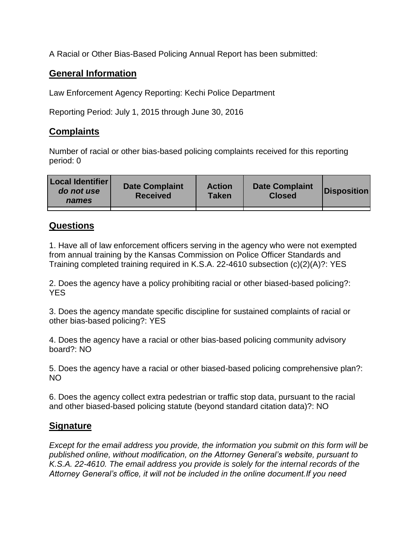A Racial or Other Bias-Based Policing Annual Report has been submitted:

## **General Information**

Law Enforcement Agency Reporting: Kechi Police Department

Reporting Period: July 1, 2015 through June 30, 2016

## **Complaints**

Number of racial or other bias-based policing complaints received for this reporting period: 0

| <b>Local Identifier</b><br>do not use<br>names | <b>Date Complaint</b><br><b>Received</b> | <b>Action</b><br><b>Taken</b> | <b>Date Complaint</b><br><b>Closed</b> | Disposition |
|------------------------------------------------|------------------------------------------|-------------------------------|----------------------------------------|-------------|
|                                                |                                          |                               |                                        |             |

## **Questions**

1. Have all of law enforcement officers serving in the agency who were not exempted from annual training by the Kansas Commission on Police Officer Standards and Training completed training required in K.S.A. 22-4610 subsection (c)(2)(A)?: YES

2. Does the agency have a policy prohibiting racial or other biased-based policing?: YES

3. Does the agency mandate specific discipline for sustained complaints of racial or other bias-based policing?: YES

4. Does the agency have a racial or other bias-based policing community advisory board?: NO

5. Does the agency have a racial or other biased-based policing comprehensive plan?: NO

6. Does the agency collect extra pedestrian or traffic stop data, pursuant to the racial and other biased-based policing statute (beyond standard citation data)?: NO

## **Signature**

*Except for the email address you provide, the information you submit on this form will be published online, without modification, on the Attorney General's website, pursuant to K.S.A. 22-4610. The email address you provide is solely for the internal records of the Attorney General's office, it will not be included in the online document.If you need*